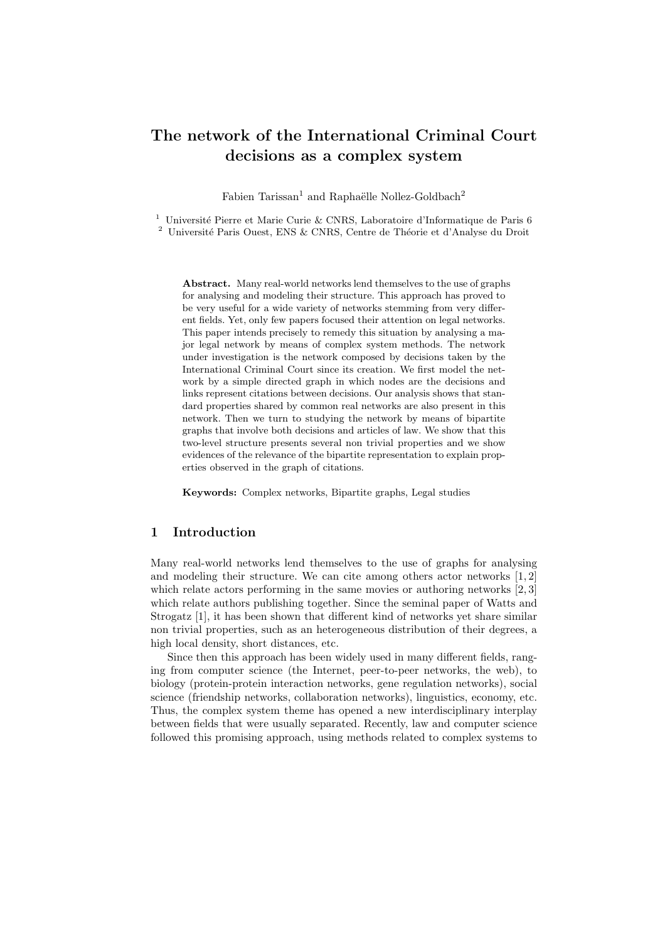# The network of the International Criminal Court decisions as a complex system

Fabien Tarissan<sup>1</sup> and Raphaëlle Nollez-Goldbach<sup>2</sup>

<sup>1</sup> Université Pierre et Marie Curie & CNRS, Laboratoire d'Informatique de Paris 6  $^2$ Université Paris Ouest, ENS & CNRS, Centre de Théorie et d'Analyse du Droit

Abstract. Many real-world networks lend themselves to the use of graphs for analysing and modeling their structure. This approach has proved to be very useful for a wide variety of networks stemming from very different fields. Yet, only few papers focused their attention on legal networks. This paper intends precisely to remedy this situation by analysing a major legal network by means of complex system methods. The network under investigation is the network composed by decisions taken by the International Criminal Court since its creation. We first model the network by a simple directed graph in which nodes are the decisions and links represent citations between decisions. Our analysis shows that standard properties shared by common real networks are also present in this network. Then we turn to studying the network by means of bipartite graphs that involve both decisions and articles of law. We show that this two-level structure presents several non trivial properties and we show evidences of the relevance of the bipartite representation to explain properties observed in the graph of citations.

Keywords: Complex networks, Bipartite graphs, Legal studies

## 1 Introduction

Many real-world networks lend themselves to the use of graphs for analysing and modeling their structure. We can cite among others actor networks  $[1,2]$ which relate actors performing in the same movies or authoring networks [2,3] which relate authors publishing together. Since the seminal paper of Watts and Strogatz [1], it has been shown that different kind of networks yet share similar non trivial properties, such as an heterogeneous distribution of their degrees, a high local density, short distances, etc.

Since then this approach has been widely used in many different fields, ranging from computer science (the Internet, peer-to-peer networks, the web), to biology (protein-protein interaction networks, gene regulation networks), social science (friendship networks, collaboration networks), linguistics, economy, etc. Thus, the complex system theme has opened a new interdisciplinary interplay between fields that were usually separated. Recently, law and computer science followed this promising approach, using methods related to complex systems to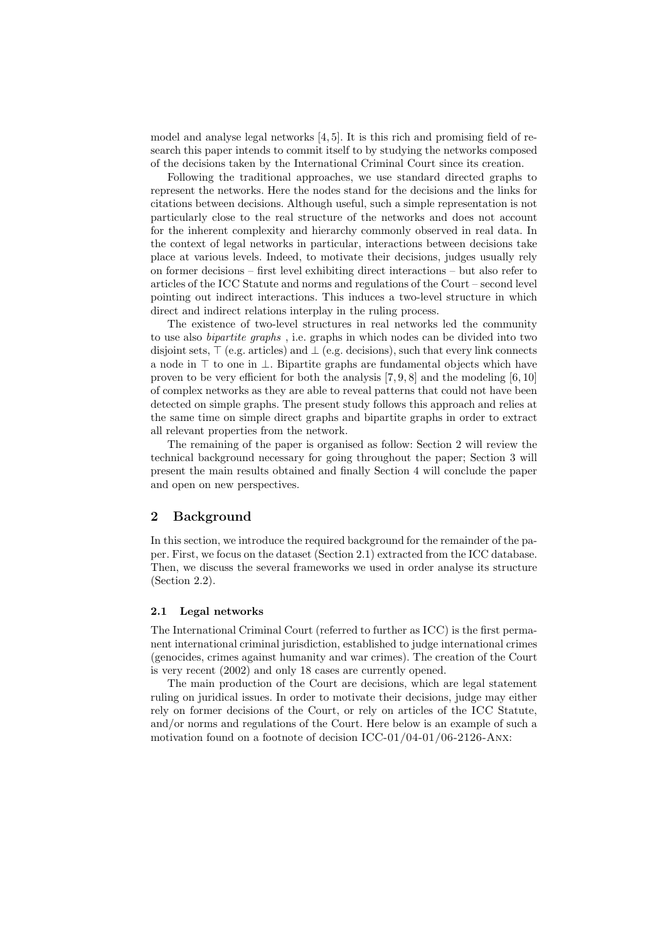model and analyse legal networks [4, 5]. It is this rich and promising field of research this paper intends to commit itself to by studying the networks composed of the decisions taken by the International Criminal Court since its creation.

Following the traditional approaches, we use standard directed graphs to represent the networks. Here the nodes stand for the decisions and the links for citations between decisions. Although useful, such a simple representation is not particularly close to the real structure of the networks and does not account for the inherent complexity and hierarchy commonly observed in real data. In the context of legal networks in particular, interactions between decisions take place at various levels. Indeed, to motivate their decisions, judges usually rely on former decisions – first level exhibiting direct interactions – but also refer to articles of the ICC Statute and norms and regulations of the Court – second level pointing out indirect interactions. This induces a two-level structure in which direct and indirect relations interplay in the ruling process.

The existence of two-level structures in real networks led the community to use also bipartite graphs , i.e. graphs in which nodes can be divided into two disjoint sets,  $\top$  (e.g. articles) and  $\bot$  (e.g. decisions), such that every link connects a node in ⊤ to one in ⊥. Bipartite graphs are fundamental objects which have proven to be very efficient for both the analysis  $[7, 9, 8]$  and the modeling  $[6, 10]$ of complex networks as they are able to reveal patterns that could not have been detected on simple graphs. The present study follows this approach and relies at the same time on simple direct graphs and bipartite graphs in order to extract all relevant properties from the network.

The remaining of the paper is organised as follow: Section 2 will review the technical background necessary for going throughout the paper; Section 3 will present the main results obtained and finally Section 4 will conclude the paper and open on new perspectives.

## 2 Background

In this section, we introduce the required background for the remainder of the paper. First, we focus on the dataset (Section 2.1) extracted from the ICC database. Then, we discuss the several frameworks we used in order analyse its structure (Section 2.2).

#### 2.1 Legal networks

The International Criminal Court (referred to further as ICC) is the first permanent international criminal jurisdiction, established to judge international crimes (genocides, crimes against humanity and war crimes). The creation of the Court is very recent (2002) and only 18 cases are currently opened.

The main production of the Court are decisions, which are legal statement ruling on juridical issues. In order to motivate their decisions, judge may either rely on former decisions of the Court, or rely on articles of the ICC Statute, and/or norms and regulations of the Court. Here below is an example of such a motivation found on a footnote of decision ICC-01/04-01/06-2126-Anx: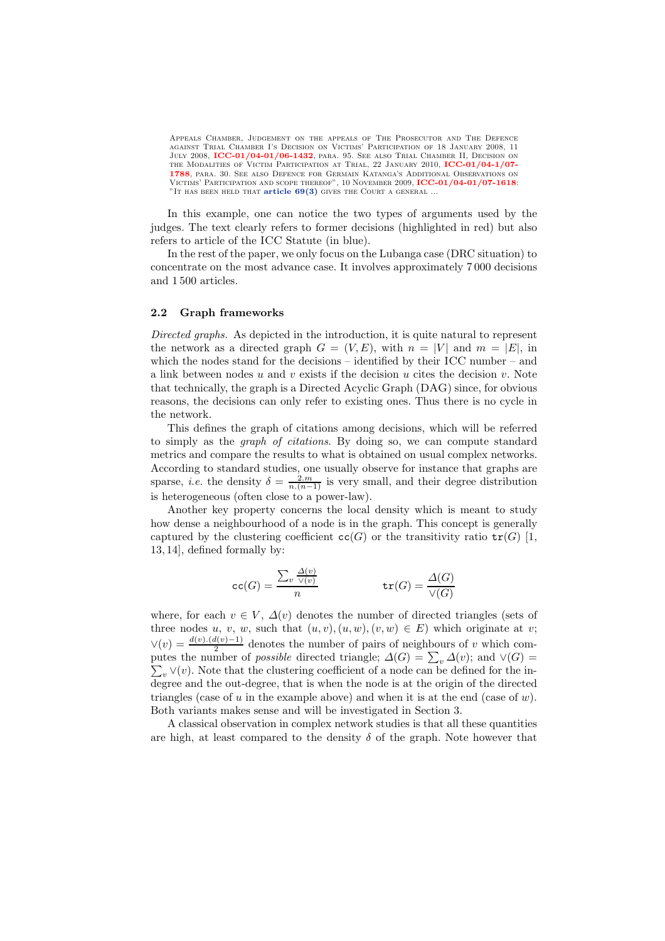Appeals Chamber, Judgement on the appeals of The Prosecutor and The Defence against Trial Chamber I's Decision on Victims' Participation of 18 January 2008, 11 JULY 2008, ICC-01/04-01/06-1432, PARA. 95. SEE ALSO TRIAL CHAMBER II, DECISION ON the Modalities of Victim Participation at Trial, 22 January 2010, ICC-01/04-1/07- 1788, para. 30. See also Defence for Germain Katanga's Additional Observations on Victims' Participation and scope thereof", 10 November 2009, ICC-01/04-01/07-1618: "It has been held that article  $69(3)$  gives the Court a general ...

In this example, one can notice the two types of arguments used by the judges. The text clearly refers to former decisions (highlighted in red) but also refers to article of the ICC Statute (in blue).

In the rest of the paper, we only focus on the Lubanga case (DRC situation) to concentrate on the most advance case. It involves approximately 7 000 decisions and 1 500 articles.

#### 2.2 Graph frameworks

Directed graphs. As depicted in the introduction, it is quite natural to represent the network as a directed graph  $G = (V, E)$ , with  $n = |V|$  and  $m = |E|$ , in which the nodes stand for the decisions – identified by their ICC number – and a link between nodes  $u$  and  $v$  exists if the decision  $u$  cites the decision  $v$ . Note that technically, the graph is a Directed Acyclic Graph (DAG) since, for obvious reasons, the decisions can only refer to existing ones. Thus there is no cycle in the network.

This defines the graph of citations among decisions, which will be referred to simply as the graph of citations. By doing so, we can compute standard metrics and compare the results to what is obtained on usual complex networks. According to standard studies, one usually observe for instance that graphs are sparse, *i.e.* the density  $\delta = \frac{2m}{n(n-1)}$  is very small, and their degree distribution is heterogeneous (often close to a power-law).

Another key property concerns the local density which is meant to study how dense a neighbourhood of a node is in the graph. This concept is generally captured by the clustering coefficient  $cc(G)$  or the transitivity ratio  $\text{tr}(G)$  [1, 13, 14], defined formally by:

$$
\mathtt{cc}(G) = \frac{\sum_v \frac{\Delta(v)}{\vee(v)}}{n} \qquad \qquad \mathtt{tr}(G) = \frac{\Delta(G)}{\vee(G)}
$$

where, for each  $v \in V$ ,  $\Delta(v)$  denotes the number of directed triangles (sets of three nodes u, v, w, such that  $(u, v), (u, w), (v, w) \in E$ ) which originate at v;  $\vee(v) = \frac{d(v) \cdot (d(v)-1)}{2}$  denotes the number of pairs of neighbours of v which computes the number of *possible* directed triangle;  $\Delta(G) = \sum_{v} \Delta(v)$ ; and  $\vee(G) = \sum_{v} \vee(v)$ . Note that the clustering coefficient of a node can be defined for the in- $\sum_{v} \vee(v)$ . Note that the clustering coefficient of a node can be defined for the indegree and the out-degree, that is when the node is at the origin of the directed triangles (case of u in the example above) and when it is at the end (case of  $w$ ). Both variants makes sense and will be investigated in Section 3.

A classical observation in complex network studies is that all these quantities are high, at least compared to the density  $\delta$  of the graph. Note however that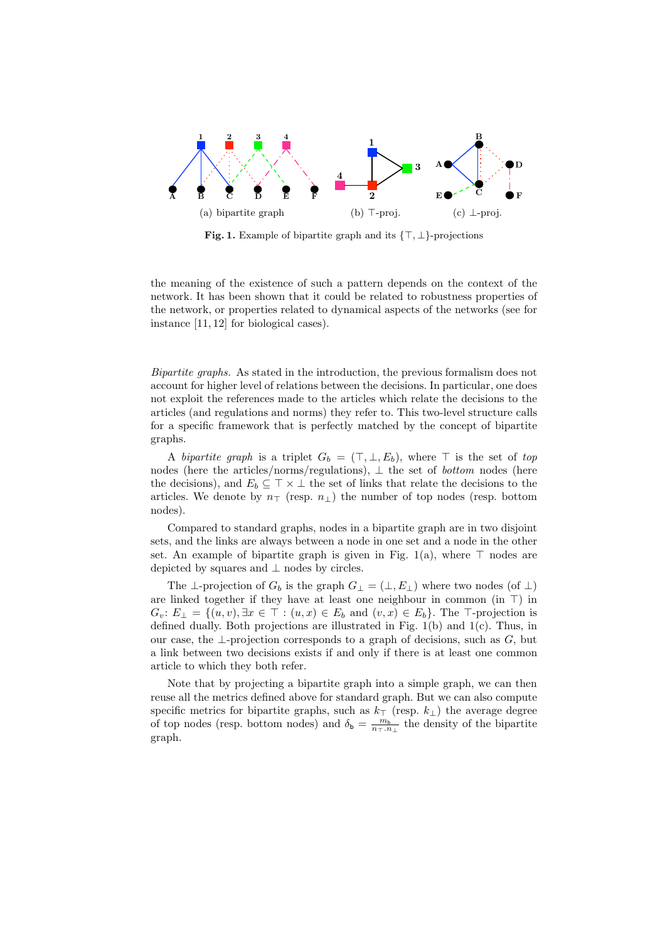

Fig. 1. Example of bipartite graph and its  $\{\top, \bot\}$ -projections

the meaning of the existence of such a pattern depends on the context of the network. It has been shown that it could be related to robustness properties of the network, or properties related to dynamical aspects of the networks (see for instance [11, 12] for biological cases).

Bipartite graphs. As stated in the introduction, the previous formalism does not account for higher level of relations between the decisions. In particular, one does not exploit the references made to the articles which relate the decisions to the articles (and regulations and norms) they refer to. This two-level structure calls for a specific framework that is perfectly matched by the concept of bipartite graphs.

A bipartite graph is a triplet  $G_b = (\top, \bot, E_b)$ , where  $\top$  is the set of top nodes (here the articles/norms/regulations),  $\perp$  the set of *bottom* nodes (here the decisions), and  $E_b \subseteq \top \times \bot$  the set of links that relate the decisions to the articles. We denote by  $n\tau$  (resp.  $n_{\perp}$ ) the number of top nodes (resp. bottom nodes).

Compared to standard graphs, nodes in a bipartite graph are in two disjoint sets, and the links are always between a node in one set and a node in the other set. An example of bipartite graph is given in Fig. 1(a), where  $\top$  nodes are depicted by squares and  $\perp$  nodes by circles.

The ⊥-projection of  $G_b$  is the graph  $G_{\perp} = (\perp, E_{\perp})$  where two nodes (of  $\perp$ ) are linked together if they have at least one neighbour in common (in ⊤) in  $G_v: E_\perp = \{(u, v), \exists x \in \top : (u, x) \in E_b \text{ and } (v, x) \in E_b\}.$  The  $\top$ -projection is defined dually. Both projections are illustrated in Fig.  $1(b)$  and  $1(c)$ . Thus, in our case, the ⊥-projection corresponds to a graph of decisions, such as  $G$ , but a link between two decisions exists if and only if there is at least one common article to which they both refer.

Note that by projecting a bipartite graph into a simple graph, we can then reuse all the metrics defined above for standard graph. But we can also compute specific metrics for bipartite graphs, such as  $k_{\top}$  (resp.  $k_{\perp}$ ) the average degree of top nodes (resp. bottom nodes) and  $\delta_{\mathbf{b}} = \frac{m_{\mathbf{b}}}{n_{\top}.n_{\bot}}$  the density of the bipartite graph.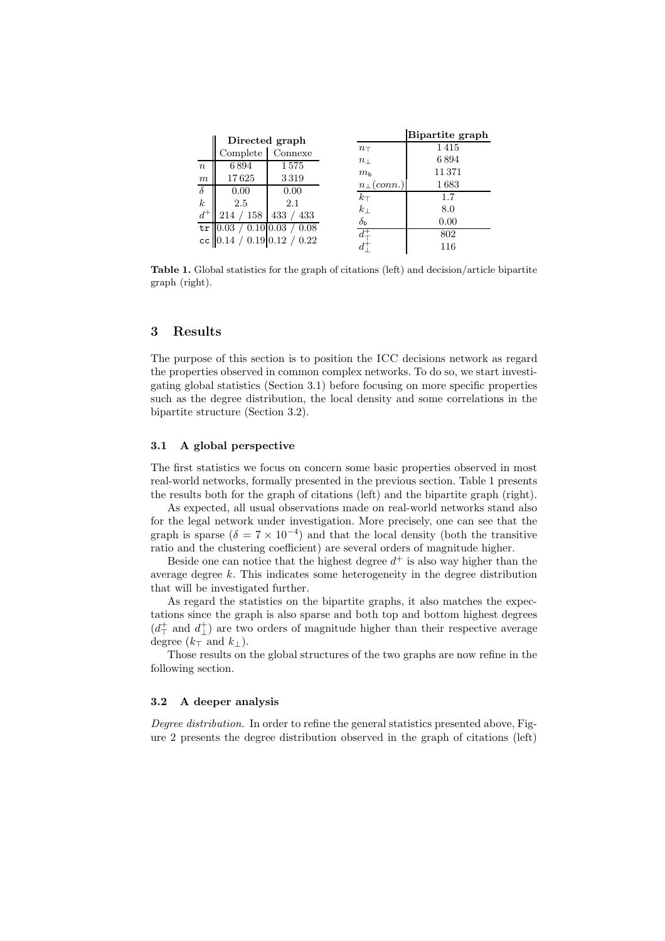|                           | Directed graph             |            |                    | Bipartite graph |
|---------------------------|----------------------------|------------|--------------------|-----------------|
|                           | Complete                   | Connexe    | $n_{\top}$         | 1415            |
| $\boldsymbol{n}$          | 6894                       | 1575       | $n_{\perp}$        | 6894            |
| $\boldsymbol{m}$          | 17625                      | 3319       | m <sub>b</sub>     | 11371           |
| $\delta$                  | 0.00                       | 0.00       | $n_{\perp}(conn.)$ | 1683            |
|                           |                            |            | $k_{\text{T}}$     | 1.7             |
| $\boldsymbol{k}$<br>$d^+$ | 2.5                        | 2.1        | $k_{\perp}$        | 8.0             |
|                           | 158<br>214                 | 433<br>433 | $\delta_{\tt b}$   | 0.00            |
|                           | tr 0.03 / 0.10 0.03 / 0.08 |            | $d^{\pm}$          | 802             |
|                           | cc 0.14 / 0.19 0.12 / 0.22 |            | $d^+$              | 116             |
|                           |                            |            |                    |                 |

Table 1. Global statistics for the graph of citations (left) and decision/article bipartite graph (right).

#### 3 Results

The purpose of this section is to position the ICC decisions network as regard the properties observed in common complex networks. To do so, we start investigating global statistics (Section 3.1) before focusing on more specific properties such as the degree distribution, the local density and some correlations in the bipartite structure (Section 3.2).

## 3.1 A global perspective

The first statistics we focus on concern some basic properties observed in most real-world networks, formally presented in the previous section. Table 1 presents the results both for the graph of citations (left) and the bipartite graph (right).

As expected, all usual observations made on real-world networks stand also for the legal network under investigation. More precisely, one can see that the graph is sparse  $(\delta = 7 \times 10^{-4})$  and that the local density (both the transitive ratio and the clustering coefficient) are several orders of magnitude higher.

Beside one can notice that the highest degree  $d^+$  is also way higher than the average degree  $k$ . This indicates some heterogeneity in the degree distribution that will be investigated further.

As regard the statistics on the bipartite graphs, it also matches the expectations since the graph is also sparse and both top and bottom highest degrees  $(d^{\dagger}_{\perp}$  and  $d^{\dagger}_{\perp})$  are two orders of magnitude higher than their respective average degree  $(k_{\top}$  and  $k_{\perp}$ ).

Those results on the global structures of the two graphs are now refine in the following section.

#### 3.2 A deeper analysis

Degree distribution. In order to refine the general statistics presented above, Figure 2 presents the degree distribution observed in the graph of citations (left)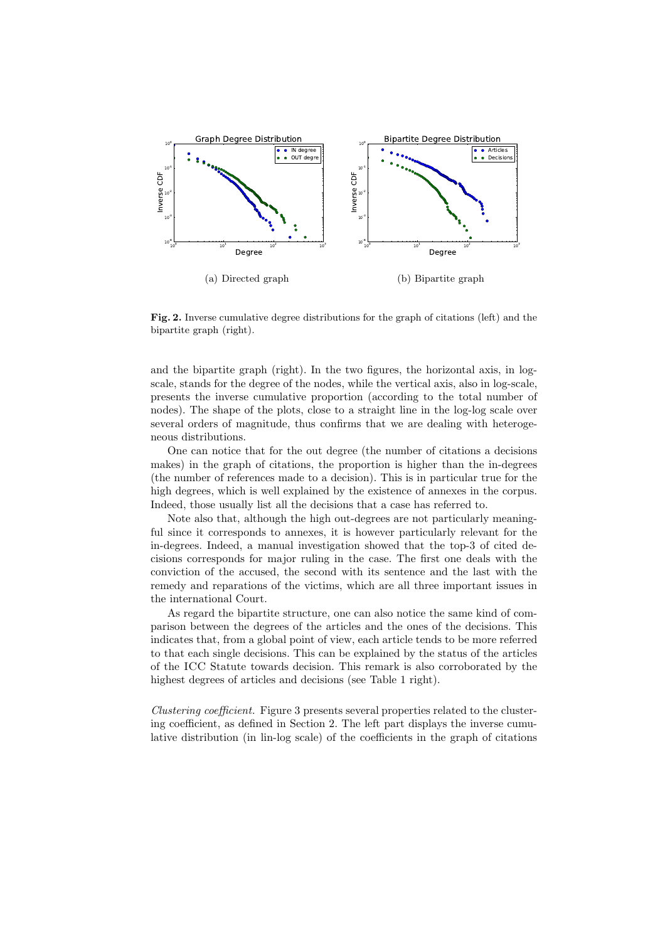

Fig. 2. Inverse cumulative degree distributions for the graph of citations (left) and the bipartite graph (right).

and the bipartite graph (right). In the two figures, the horizontal axis, in logscale, stands for the degree of the nodes, while the vertical axis, also in log-scale, presents the inverse cumulative proportion (according to the total number of nodes). The shape of the plots, close to a straight line in the log-log scale over several orders of magnitude, thus confirms that we are dealing with heterogeneous distributions.

One can notice that for the out degree (the number of citations a decisions makes) in the graph of citations, the proportion is higher than the in-degrees (the number of references made to a decision). This is in particular true for the high degrees, which is well explained by the existence of annexes in the corpus. Indeed, those usually list all the decisions that a case has referred to.

Note also that, although the high out-degrees are not particularly meaningful since it corresponds to annexes, it is however particularly relevant for the in-degrees. Indeed, a manual investigation showed that the top-3 of cited decisions corresponds for major ruling in the case. The first one deals with the conviction of the accused, the second with its sentence and the last with the remedy and reparations of the victims, which are all three important issues in the international Court.

As regard the bipartite structure, one can also notice the same kind of comparison between the degrees of the articles and the ones of the decisions. This indicates that, from a global point of view, each article tends to be more referred to that each single decisions. This can be explained by the status of the articles of the ICC Statute towards decision. This remark is also corroborated by the highest degrees of articles and decisions (see Table 1 right).

Clustering coefficient. Figure 3 presents several properties related to the clustering coefficient, as defined in Section 2. The left part displays the inverse cumulative distribution (in lin-log scale) of the coefficients in the graph of citations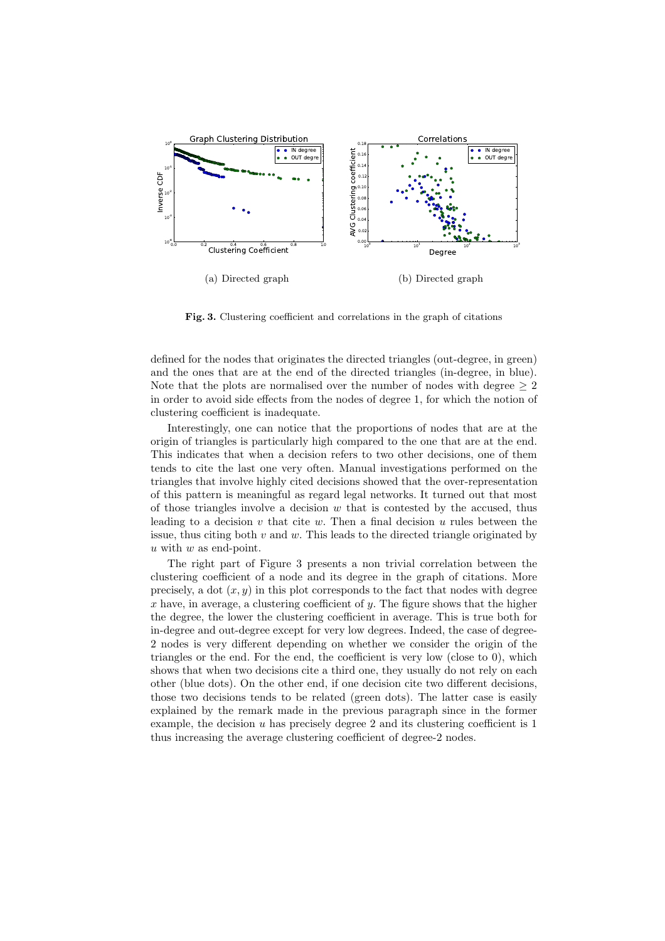

Fig. 3. Clustering coefficient and correlations in the graph of citations

defined for the nodes that originates the directed triangles (out-degree, in green) and the ones that are at the end of the directed triangles (in-degree, in blue). Note that the plots are normalised over the number of nodes with degree  $\geq 2$ in order to avoid side effects from the nodes of degree 1, for which the notion of clustering coefficient is inadequate.

Interestingly, one can notice that the proportions of nodes that are at the origin of triangles is particularly high compared to the one that are at the end. This indicates that when a decision refers to two other decisions, one of them tends to cite the last one very often. Manual investigations performed on the triangles that involve highly cited decisions showed that the over-representation of this pattern is meaningful as regard legal networks. It turned out that most of those triangles involve a decision  $w$  that is contested by the accused, thus leading to a decision  $v$  that cite  $w$ . Then a final decision  $u$  rules between the issue, thus citing both  $v$  and  $w$ . This leads to the directed triangle originated by u with w as end-point.

The right part of Figure 3 presents a non trivial correlation between the clustering coefficient of a node and its degree in the graph of citations. More precisely, a dot  $(x, y)$  in this plot corresponds to the fact that nodes with degree  $x$  have, in average, a clustering coefficient of  $y$ . The figure shows that the higher the degree, the lower the clustering coefficient in average. This is true both for in-degree and out-degree except for very low degrees. Indeed, the case of degree-2 nodes is very different depending on whether we consider the origin of the triangles or the end. For the end, the coefficient is very low (close to 0), which shows that when two decisions cite a third one, they usually do not rely on each other (blue dots). On the other end, if one decision cite two different decisions, those two decisions tends to be related (green dots). The latter case is easily explained by the remark made in the previous paragraph since in the former example, the decision  $u$  has precisely degree 2 and its clustering coefficient is 1 thus increasing the average clustering coefficient of degree-2 nodes.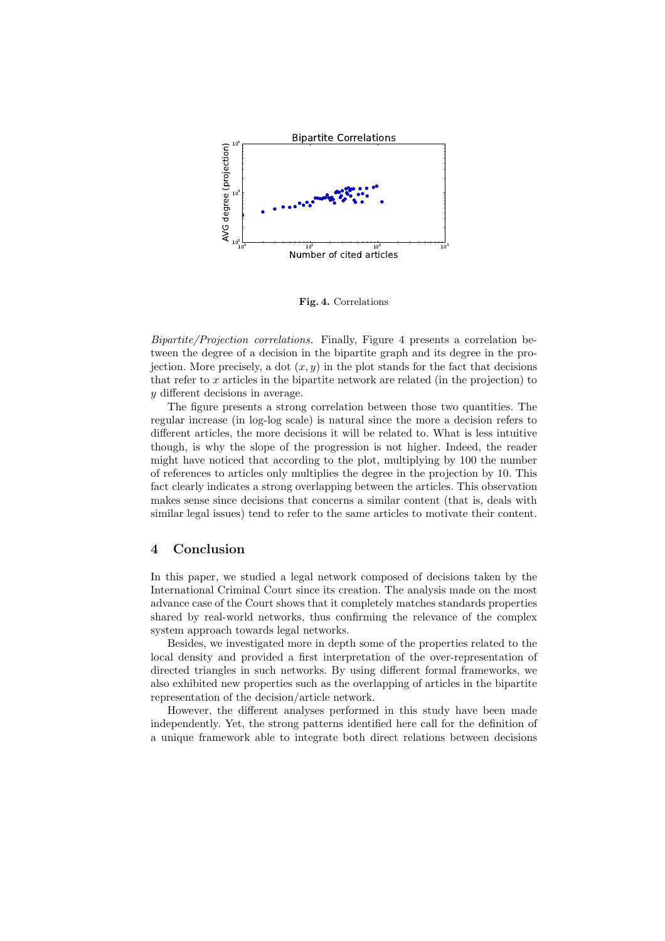

Fig. 4. Correlations

Bipartite/Projection correlations. Finally, Figure 4 presents a correlation between the degree of a decision in the bipartite graph and its degree in the projection. More precisely, a dot  $(x, y)$  in the plot stands for the fact that decisions that refer to  $x$  articles in the bipartite network are related (in the projection) to y different decisions in average.

The figure presents a strong correlation between those two quantities. The regular increase (in log-log scale) is natural since the more a decision refers to different articles, the more decisions it will be related to. What is less intuitive though, is why the slope of the progression is not higher. Indeed, the reader might have noticed that according to the plot, multiplying by 100 the number of references to articles only multiplies the degree in the projection by 10. This fact clearly indicates a strong overlapping between the articles. This observation makes sense since decisions that concerns a similar content (that is, deals with similar legal issues) tend to refer to the same articles to motivate their content.

#### 4 Conclusion

In this paper, we studied a legal network composed of decisions taken by the International Criminal Court since its creation. The analysis made on the most advance case of the Court shows that it completely matches standards properties shared by real-world networks, thus confirming the relevance of the complex system approach towards legal networks.

Besides, we investigated more in depth some of the properties related to the local density and provided a first interpretation of the over-representation of directed triangles in such networks. By using different formal frameworks, we also exhibited new properties such as the overlapping of articles in the bipartite representation of the decision/article network.

However, the different analyses performed in this study have been made independently. Yet, the strong patterns identified here call for the definition of a unique framework able to integrate both direct relations between decisions